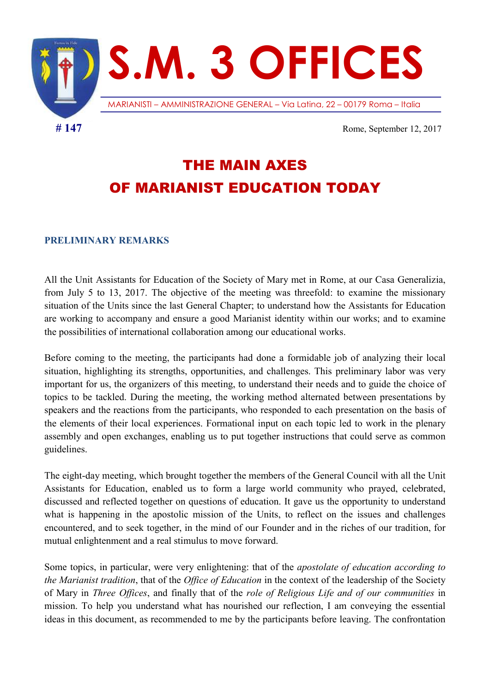

THE MAIN AXES OF MARIANIST EDUCATION TODAY

#### PRELIMINARY REMARKS

All the Unit Assistants for Education of the Society of Mary met in Rome, at our Casa Generalizia, from July 5 to 13, 2017. The objective of the meeting was threefold: to examine the missionary situation of the Units since the last General Chapter; to understand how the Assistants for Education are working to accompany and ensure a good Marianist identity within our works; and to examine the possibilities of international collaboration among our educational works.

Before coming to the meeting, the participants had done a formidable job of analyzing their local situation, highlighting its strengths, opportunities, and challenges. This preliminary labor was very important for us, the organizers of this meeting, to understand their needs and to guide the choice of topics to be tackled. During the meeting, the working method alternated between presentations by speakers and the reactions from the participants, who responded to each presentation on the basis of the elements of their local experiences. Formational input on each topic led to work in the plenary assembly and open exchanges, enabling us to put together instructions that could serve as common guidelines.

The eight-day meeting, which brought together the members of the General Council with all the Unit Assistants for Education, enabled us to form a large world community who prayed, celebrated, discussed and reflected together on questions of education. It gave us the opportunity to understand what is happening in the apostolic mission of the Units, to reflect on the issues and challenges encountered, and to seek together, in the mind of our Founder and in the riches of our tradition, for mutual enlightenment and a real stimulus to move forward.

Some topics, in particular, were very enlightening: that of the apostolate of education according to the Marianist tradition, that of the Office of Education in the context of the leadership of the Society of Mary in Three Offices, and finally that of the role of Religious Life and of our communities in mission. To help you understand what has nourished our reflection, I am conveying the essential ideas in this document, as recommended to me by the participants before leaving. The confrontation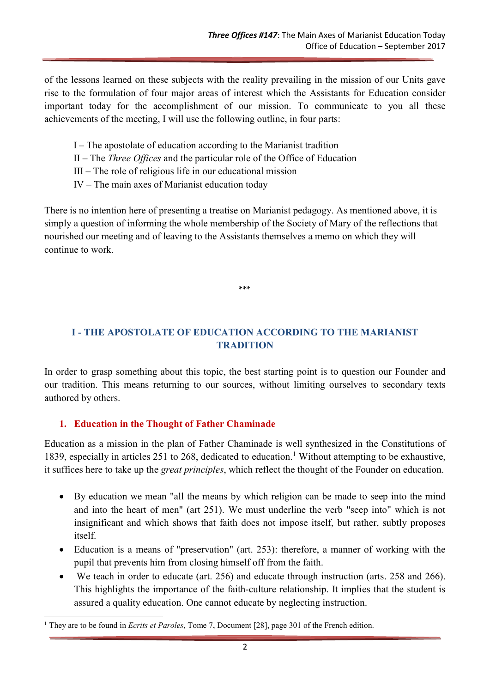of the lessons learned on these subjects with the reality prevailing in the mission of our Units gave rise to the formulation of four major areas of interest which the Assistants for Education consider important today for the accomplishment of our mission. To communicate to you all these achievements of the meeting, I will use the following outline, in four parts:

- I The apostolate of education according to the Marianist tradition
- II The *Three Offices* and the particular role of the Office of Education
- III The role of religious life in our educational mission
- IV The main axes of Marianist education today

There is no intention here of presenting a treatise on Marianist pedagogy. As mentioned above, it is simply a question of informing the whole membership of the Society of Mary of the reflections that nourished our meeting and of leaving to the Assistants themselves a memo on which they will continue to work.

\*\*\*

# I - THE APOSTOLATE OF EDUCATION ACCORDING TO THE MARIANIST **TRADITION**

In order to grasp something about this topic, the best starting point is to question our Founder and our tradition. This means returning to our sources, without limiting ourselves to secondary texts authored by others.

### 1. Education in the Thought of Father Chaminade

Education as a mission in the plan of Father Chaminade is well synthesized in the Constitutions of 1839, especially in articles 251 to 268, dedicated to education.<sup>1</sup> Without attempting to be exhaustive, it suffices here to take up the great principles, which reflect the thought of the Founder on education.

- By education we mean "all the means by which religion can be made to seep into the mind and into the heart of men" (art 251). We must underline the verb "seep into" which is not insignificant and which shows that faith does not impose itself, but rather, subtly proposes itself.
- Education is a means of "preservation" (art. 253): therefore, a manner of working with the pupil that prevents him from closing himself off from the faith.
- We teach in order to educate (art. 256) and educate through instruction (arts. 258 and 266). This highlights the importance of the faith-culture relationship. It implies that the student is assured a quality education. One cannot educate by neglecting instruction.

<sup>-</sup><sup>1</sup> They are to be found in Ecrits et Paroles, Tome 7, Document [28], page 301 of the French edition.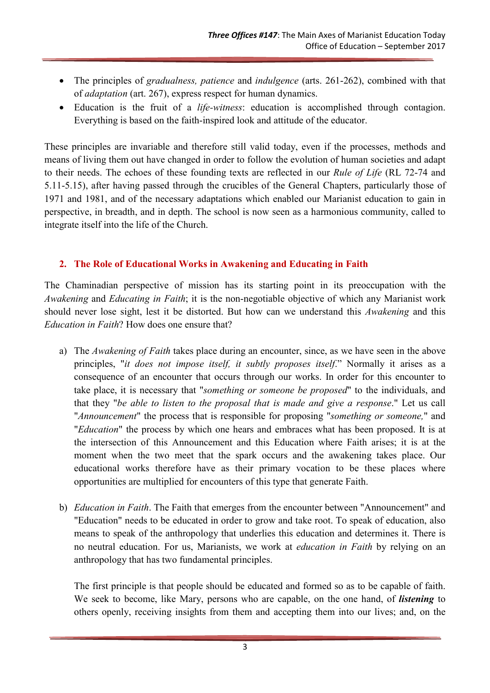- The principles of gradualness, patience and indulgence (arts. 261-262), combined with that of adaptation (art. 267), express respect for human dynamics.
- Education is the fruit of a life-witness: education is accomplished through contagion. Everything is based on the faith-inspired look and attitude of the educator.

These principles are invariable and therefore still valid today, even if the processes, methods and means of living them out have changed in order to follow the evolution of human societies and adapt to their needs. The echoes of these founding texts are reflected in our Rule of Life (RL 72-74 and 5.11-5.15), after having passed through the crucibles of the General Chapters, particularly those of 1971 and 1981, and of the necessary adaptations which enabled our Marianist education to gain in perspective, in breadth, and in depth. The school is now seen as a harmonious community, called to integrate itself into the life of the Church.

### 2. The Role of Educational Works in Awakening and Educating in Faith

The Chaminadian perspective of mission has its starting point in its preoccupation with the Awakening and Educating in Faith; it is the non-negotiable objective of which any Marianist work should never lose sight, lest it be distorted. But how can we understand this Awakening and this Education in Faith? How does one ensure that?

- a) The Awakening of Faith takes place during an encounter, since, as we have seen in the above principles, "it does not impose itself, it subtly proposes itself." Normally it arises as a consequence of an encounter that occurs through our works. In order for this encounter to take place, it is necessary that "something or someone be proposed" to the individuals, and that they "be able to listen to the proposal that is made and give a response." Let us call "Announcement" the process that is responsible for proposing "something or someone," and "Education" the process by which one hears and embraces what has been proposed. It is at the intersection of this Announcement and this Education where Faith arises; it is at the moment when the two meet that the spark occurs and the awakening takes place. Our educational works therefore have as their primary vocation to be these places where opportunities are multiplied for encounters of this type that generate Faith.
- b) Education in Faith. The Faith that emerges from the encounter between "Announcement" and "Education" needs to be educated in order to grow and take root. To speak of education, also means to speak of the anthropology that underlies this education and determines it. There is no neutral education. For us, Marianists, we work at education in Faith by relying on an anthropology that has two fundamental principles.

The first principle is that people should be educated and formed so as to be capable of faith. We seek to become, like Mary, persons who are capable, on the one hand, of *listening* to others openly, receiving insights from them and accepting them into our lives; and, on the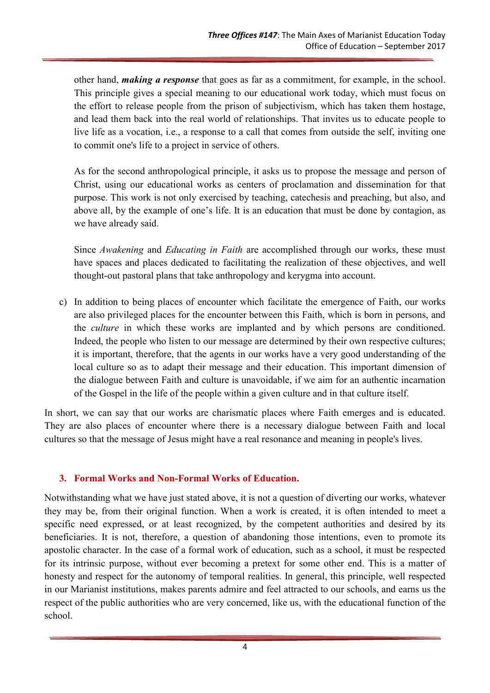other hand, *making a response* that goes as far as a commitment, for example, in the school. This principle gives a special meaning to our educational work today, which must focus on the effort to release people from the prison of subjectivism, which has taken them hostage, and lead them back into the real world of relationships. That invites us to educate people to live life as a vocation, i.e., a response to a call that comes from outside the self, inviting one to commit one's life to a project in service of others.

As for the second anthropological principle, it asks us to propose the message and person of Christ, using our educational works as centers of proclamation and dissemination for that purpose. This work is not only exercised by teaching, catechesis and preaching, but also, and above all, by the example of one's life. It is an education that must be done by contagion, as we have already said.

Since Awakening and Educating in Faith are accomplished through our works, these must have spaces and places dedicated to facilitating the realization of these objectives, and well thought-out pastoral plans that take anthropology and kerygma into account.

c) In addition to being places of encounter which facilitate the emergence of Faith, our works are also privileged places for the encounter between this Faith, which is born in persons, and the culture in which these works are implanted and by which persons are conditioned. Indeed, the people who listen to our message are determined by their own respective cultures; it is important, therefore, that the agents in our works have a very good understanding of the local culture so as to adapt their message and their education. This important dimension of the dialogue between Faith and culture is unavoidable, if we aim for an authentic incarnation of the Gospel in the life of the people within a given culture and in that culture itself.

In short, we can say that our works are charismatic places where Faith emerges and is educated. They are also places of encounter where there is a necessary dialogue between Faith and local cultures so that the message of Jesus might have a real resonance and meaning in people's lives.

#### 3. Formal Works and Non-Formal Works of Education.

Notwithstanding what we have just stated above, it is not a question of diverting our works, whatever they may be, from their original function. When a work is created, it is often intended to meet a specific need expressed, or at least recognized, by the competent authorities and desired by its beneficiaries. It is not, therefore, a question of abandoning those intentions, even to promote its apostolic character. In the case of a formal work of education, such as a school, it must be respected for its intrinsic purpose, without ever becoming a pretext for some other end. This is a matter of honesty and respect for the autonomy of temporal realities. In general, this principle, well respected in our Marianist institutions, makes parents admire and feel attracted to our schools, and earns us the respect of the public authorities who are very concerned, like us, with the educational function of the school.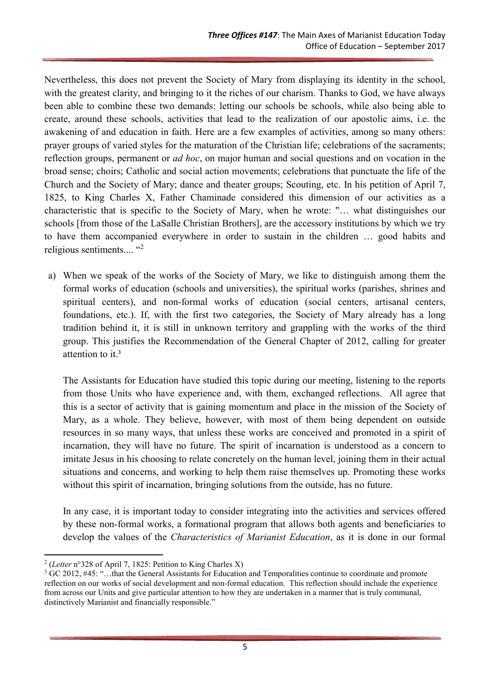Nevertheless, this does not prevent the Society of Mary from displaying its identity in the school, with the greatest clarity, and bringing to it the riches of our charism. Thanks to God, we have always been able to combine these two demands: letting our schools be schools, while also being able to create, around these schools, activities that lead to the realization of our apostolic aims, i.e. the awakening of and education in faith. Here are a few examples of activities, among so many others: prayer groups of varied styles for the maturation of the Christian life; celebrations of the sacraments; reflection groups, permanent or *ad hoc*, on major human and social questions and on vocation in the broad sense; choirs; Catholic and social action movements; celebrations that punctuate the life of the Church and the Society of Mary; dance and theater groups; Scouting, etc. In his petition of April 7, 1825, to King Charles X, Father Chaminade considered this dimension of our activities as a characteristic that is specific to the Society of Mary, when he wrote: "… what distinguishes our schools [from those of the LaSalle Christian Brothers], are the accessory institutions by which we try to have them accompanied everywhere in order to sustain in the children … good habits and religious sentiments....  $42$ 

a) When we speak of the works of the Society of Mary, we like to distinguish among them the formal works of education (schools and universities), the spiritual works (parishes, shrines and spiritual centers), and non-formal works of education (social centers, artisanal centers, foundations, etc.). If, with the first two categories, the Society of Mary already has a long tradition behind it, it is still in unknown territory and grappling with the works of the third group. This justifies the Recommendation of the General Chapter of 2012, calling for greater attention to it.<sup>3</sup>

The Assistants for Education have studied this topic during our meeting, listening to the reports from those Units who have experience and, with them, exchanged reflections. All agree that this is a sector of activity that is gaining momentum and place in the mission of the Society of Mary, as a whole. They believe, however, with most of them being dependent on outside resources in so many ways, that unless these works are conceived and promoted in a spirit of incarnation, they will have no future. The spirit of incarnation is understood as a concern to imitate Jesus in his choosing to relate concretely on the human level, joining them in their actual situations and concerns, and working to help them raise themselves up. Promoting these works without this spirit of incarnation, bringing solutions from the outside, has no future.

In any case, it is important today to consider integrating into the activities and services offered by these non-formal works, a formational program that allows both agents and beneficiaries to develop the values of the *Characteristics of Marianist Education*, as it is done in our formal

<sup>&</sup>lt;sup>2</sup> (Letter n°328 of April 7, 1825: Petition to King Charles X)

<sup>&</sup>lt;sup>3</sup> GC 2012, #45: "...that the General Assistants for Education and Temporalities continue to coordinate and promote reflection on our works of social development and non-formal education. This reflection should include the experience from across our Units and give particular attention to how they are undertaken in a manner that is truly communal, distinctively Marianist and financially responsible."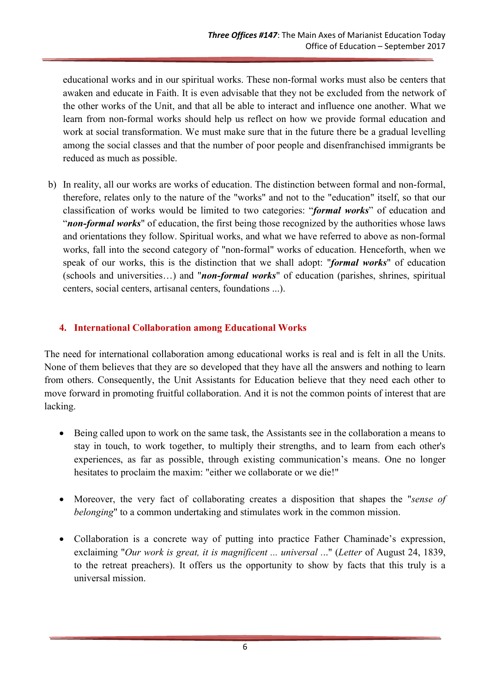educational works and in our spiritual works. These non-formal works must also be centers that awaken and educate in Faith. It is even advisable that they not be excluded from the network of the other works of the Unit, and that all be able to interact and influence one another. What we learn from non-formal works should help us reflect on how we provide formal education and work at social transformation. We must make sure that in the future there be a gradual levelling among the social classes and that the number of poor people and disenfranchised immigrants be reduced as much as possible.

b) In reality, all our works are works of education. The distinction between formal and non-formal, therefore, relates only to the nature of the "works" and not to the "education" itself, so that our classification of works would be limited to two categories: "formal works" of education and "non-formal works" of education, the first being those recognized by the authorities whose laws and orientations they follow. Spiritual works, and what we have referred to above as non-formal works, fall into the second category of "non-formal" works of education. Henceforth, when we speak of our works, this is the distinction that we shall adopt: "formal works" of education (schools and universities...) and "non-formal works" of education (parishes, shrines, spiritual centers, social centers, artisanal centers, foundations ...).

### 4. International Collaboration among Educational Works

The need for international collaboration among educational works is real and is felt in all the Units. None of them believes that they are so developed that they have all the answers and nothing to learn from others. Consequently, the Unit Assistants for Education believe that they need each other to move forward in promoting fruitful collaboration. And it is not the common points of interest that are lacking.

- Being called upon to work on the same task, the Assistants see in the collaboration a means to stay in touch, to work together, to multiply their strengths, and to learn from each other's experiences, as far as possible, through existing communication's means. One no longer hesitates to proclaim the maxim: "either we collaborate or we die!"
- Moreover, the very fact of collaborating creates a disposition that shapes the "sense of belonging" to a common undertaking and stimulates work in the common mission.
- Collaboration is a concrete way of putting into practice Father Chaminade's expression, exclaiming "Our work is great, it is magnificent ... universal ..." (Letter of August 24, 1839, to the retreat preachers). It offers us the opportunity to show by facts that this truly is a universal mission.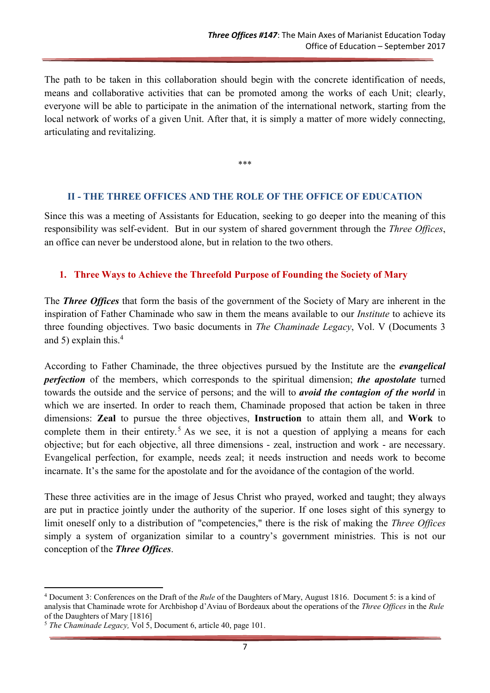The path to be taken in this collaboration should begin with the concrete identification of needs, means and collaborative activities that can be promoted among the works of each Unit; clearly, everyone will be able to participate in the animation of the international network, starting from the local network of works of a given Unit. After that, it is simply a matter of more widely connecting, articulating and revitalizing.

\*\*\*

#### II - THE THREE OFFICES AND THE ROLE OF THE OFFICE OF EDUCATION

Since this was a meeting of Assistants for Education, seeking to go deeper into the meaning of this responsibility was self-evident. But in our system of shared government through the Three Offices, an office can never be understood alone, but in relation to the two others.

#### 1. Three Ways to Achieve the Threefold Purpose of Founding the Society of Mary

The *Three Offices* that form the basis of the government of the Society of Mary are inherent in the inspiration of Father Chaminade who saw in them the means available to our Institute to achieve its three founding objectives. Two basic documents in The Chaminade Legacy, Vol. V (Documents 3 and 5) explain this.<sup>4</sup>

According to Father Chaminade, the three objectives pursued by the Institute are the *evangelical* perfection of the members, which corresponds to the spiritual dimension; the apostolate turned towards the outside and the service of persons; and the will to *avoid the contagion of the world* in which we are inserted. In order to reach them, Chaminade proposed that action be taken in three dimensions: Zeal to pursue the three objectives, Instruction to attain them all, and Work to complete them in their entirety.<sup>5</sup> As we see, it is not a question of applying a means for each objective; but for each objective, all three dimensions - zeal, instruction and work - are necessary. Evangelical perfection, for example, needs zeal; it needs instruction and needs work to become incarnate. It's the same for the apostolate and for the avoidance of the contagion of the world.

These three activities are in the image of Jesus Christ who prayed, worked and taught; they always are put in practice jointly under the authority of the superior. If one loses sight of this synergy to limit oneself only to a distribution of "competencies," there is the risk of making the *Three Offices* simply a system of organization similar to a country's government ministries. This is not our conception of the Three Offices.

<sup>&</sup>lt;sup>4</sup> Document 3: Conferences on the Draft of the Rule of the Daughters of Mary, August 1816. Document 5: is a kind of analysis that Chaminade wrote for Archbishop d'Aviau of Bordeaux about the operations of the Three Offices in the Rule of the Daughters of Mary [1816]

<sup>&</sup>lt;sup>5</sup> The Chaminade Legacy, Vol 5, Document 6, article 40, page 101.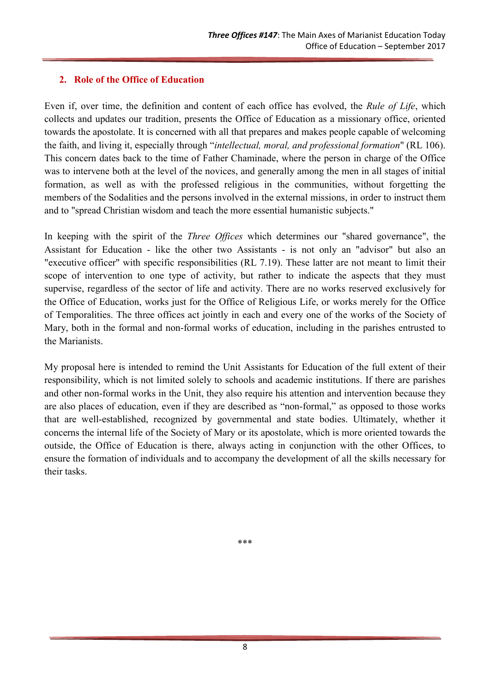### 2. Role of the Office of Education

Even if, over time, the definition and content of each office has evolved, the Rule of Life, which collects and updates our tradition, presents the Office of Education as a missionary office, oriented towards the apostolate. It is concerned with all that prepares and makes people capable of welcoming the faith, and living it, especially through "intellectual, moral, and professional formation" (RL 106). This concern dates back to the time of Father Chaminade, where the person in charge of the Office was to intervene both at the level of the novices, and generally among the men in all stages of initial formation, as well as with the professed religious in the communities, without forgetting the members of the Sodalities and the persons involved in the external missions, in order to instruct them and to "spread Christian wisdom and teach the more essential humanistic subjects."

In keeping with the spirit of the *Three Offices* which determines our "shared governance", the Assistant for Education - like the other two Assistants - is not only an "advisor" but also an "executive officer" with specific responsibilities (RL 7.19). These latter are not meant to limit their scope of intervention to one type of activity, but rather to indicate the aspects that they must supervise, regardless of the sector of life and activity. There are no works reserved exclusively for the Office of Education, works just for the Office of Religious Life, or works merely for the Office of Temporalities. The three offices act jointly in each and every one of the works of the Society of Mary, both in the formal and non-formal works of education, including in the parishes entrusted to the Marianists.

My proposal here is intended to remind the Unit Assistants for Education of the full extent of their responsibility, which is not limited solely to schools and academic institutions. If there are parishes and other non-formal works in the Unit, they also require his attention and intervention because they are also places of education, even if they are described as "non-formal," as opposed to those works that are well-established, recognized by governmental and state bodies. Ultimately, whether it concerns the internal life of the Society of Mary or its apostolate, which is more oriented towards the outside, the Office of Education is there, always acting in conjunction with the other Offices, to ensure the formation of individuals and to accompany the development of all the skills necessary for their tasks.

\*\*\*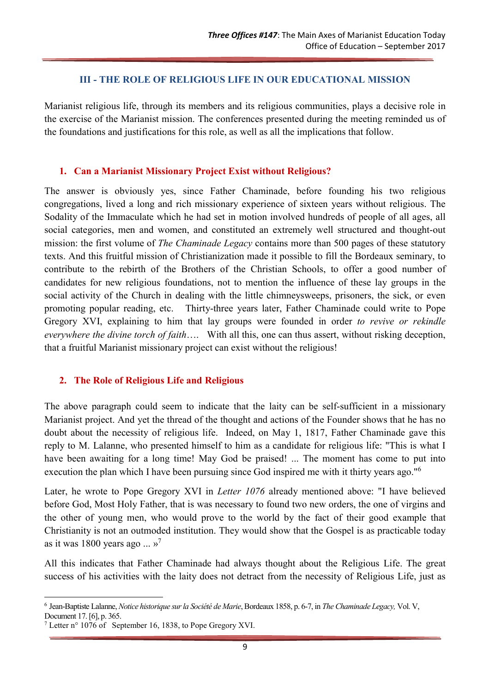#### III - THE ROLE OF RELIGIOUS LIFE IN OUR EDUCATIONAL MISSION

Marianist religious life, through its members and its religious communities, plays a decisive role in the exercise of the Marianist mission. The conferences presented during the meeting reminded us of the foundations and justifications for this role, as well as all the implications that follow.

#### 1. Can a Marianist Missionary Project Exist without Religious?

The answer is obviously yes, since Father Chaminade, before founding his two religious congregations, lived a long and rich missionary experience of sixteen years without religious. The Sodality of the Immaculate which he had set in motion involved hundreds of people of all ages, all social categories, men and women, and constituted an extremely well structured and thought-out mission: the first volume of *The Chaminade Legacy* contains more than 500 pages of these statutory texts. And this fruitful mission of Christianization made it possible to fill the Bordeaux seminary, to contribute to the rebirth of the Brothers of the Christian Schools, to offer a good number of candidates for new religious foundations, not to mention the influence of these lay groups in the social activity of the Church in dealing with the little chimneysweeps, prisoners, the sick, or even promoting popular reading, etc. Thirty-three years later, Father Chaminade could write to Pope Gregory XVI, explaining to him that lay groups were founded in order to revive or rekindle everywhere the divine torch of faith…. With all this, one can thus assert, without risking deception, that a fruitful Marianist missionary project can exist without the religious!

#### 2. The Role of Religious Life and Religious

The above paragraph could seem to indicate that the laity can be self-sufficient in a missionary Marianist project. And yet the thread of the thought and actions of the Founder shows that he has no doubt about the necessity of religious life. Indeed, on May 1, 1817, Father Chaminade gave this reply to M. Lalanne, who presented himself to him as a candidate for religious life: "This is what I have been awaiting for a long time! May God be praised! ... The moment has come to put into execution the plan which I have been pursuing since God inspired me with it thirty years ago."<sup>6</sup>

Later, he wrote to Pope Gregory XVI in *Letter 1076* already mentioned above: "I have believed before God, Most Holy Father, that is was necessary to found two new orders, the one of virgins and the other of young men, who would prove to the world by the fact of their good example that Christianity is not an outmoded institution. They would show that the Gospel is as practicable today as it was 1800 years ago ...  $v^7$ 

All this indicates that Father Chaminade had always thought about the Religious Life. The great success of his activities with the laity does not detract from the necessity of Religious Life, just as

<sup>-</sup><sup>6</sup> Jean-Baptiste Lalanne, Notice historique sur la Société de Marie, Bordeaux 1858, p. 6-7, in The Chaminade Legacy, Vol. V,

Document 17. [6], p. 365.

<sup>&</sup>lt;sup>7</sup> Letter n° 1076 of September 16, 1838, to Pope Gregory XVI.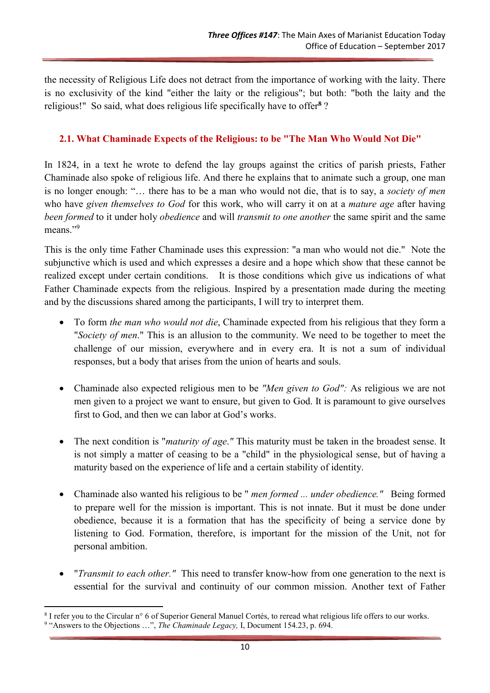the necessity of Religious Life does not detract from the importance of working with the laity. There is no exclusivity of the kind "either the laity or the religious"; but both: "both the laity and the religious!" So said, what does religious life specifically have to offer<sup>8</sup>?

## 2.1. What Chaminade Expects of the Religious: to be "The Man Who Would Not Die"

In 1824, in a text he wrote to defend the lay groups against the critics of parish priests, Father Chaminade also spoke of religious life. And there he explains that to animate such a group, one man is no longer enough: "… there has to be a man who would not die, that is to say, a society of men who have given themselves to God for this work, who will carry it on at a mature age after having been formed to it under holy obedience and will transmit to one another the same spirit and the same means."9

This is the only time Father Chaminade uses this expression: "a man who would not die." Note the subjunctive which is used and which expresses a desire and a hope which show that these cannot be realized except under certain conditions. It is those conditions which give us indications of what Father Chaminade expects from the religious. Inspired by a presentation made during the meeting and by the discussions shared among the participants, I will try to interpret them.

- To form the man who would not die, Chaminade expected from his religious that they form a "Society of men." This is an allusion to the community. We need to be together to meet the challenge of our mission, everywhere and in every era. It is not a sum of individual responses, but a body that arises from the union of hearts and souls.
- Chaminade also expected religious men to be "Men given to God": As religious we are not men given to a project we want to ensure, but given to God. It is paramount to give ourselves first to God, and then we can labor at God's works.
- The next condition is "*maturity of age*." This maturity must be taken in the broadest sense. It is not simply a matter of ceasing to be a "child" in the physiological sense, but of having a maturity based on the experience of life and a certain stability of identity.
- Chaminade also wanted his religious to be " men formed ... under obedience." Being formed to prepare well for the mission is important. This is not innate. But it must be done under obedience, because it is a formation that has the specificity of being a service done by listening to God. Formation, therefore, is important for the mission of the Unit, not for personal ambition.
- *"Transmit to each other."* This need to transfer know-how from one generation to the next is essential for the survival and continuity of our common mission. Another text of Father

<sup>8</sup> I refer you to the Circular n° 6 of Superior General Manuel Cortés, to reread what religious life offers to our works.

<sup>&</sup>lt;sup>9</sup> "Answers to the Objections ...", The Chaminade Legacy, I, Document 154.23, p. 694.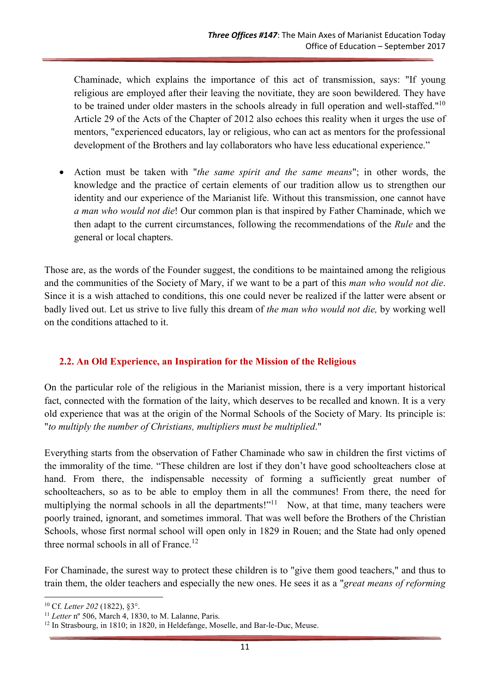Chaminade, which explains the importance of this act of transmission, says: "If young religious are employed after their leaving the novitiate, they are soon bewildered. They have to be trained under older masters in the schools already in full operation and well-staffed." $10$ Article 29 of the Acts of the Chapter of 2012 also echoes this reality when it urges the use of mentors, "experienced educators, lay or religious, who can act as mentors for the professional development of the Brothers and lay collaborators who have less educational experience."

Action must be taken with "*the same spirit and the same means*"; in other words, the knowledge and the practice of certain elements of our tradition allow us to strengthen our identity and our experience of the Marianist life. Without this transmission, one cannot have a man who would not die! Our common plan is that inspired by Father Chaminade, which we then adapt to the current circumstances, following the recommendations of the Rule and the general or local chapters.

Those are, as the words of the Founder suggest, the conditions to be maintained among the religious and the communities of the Society of Mary, if we want to be a part of this man who would not die. Since it is a wish attached to conditions, this one could never be realized if the latter were absent or badly lived out. Let us strive to live fully this dream of the man who would not die, by working well on the conditions attached to it.

### 2.2. An Old Experience, an Inspiration for the Mission of the Religious

On the particular role of the religious in the Marianist mission, there is a very important historical fact, connected with the formation of the laity, which deserves to be recalled and known. It is a very old experience that was at the origin of the Normal Schools of the Society of Mary. Its principle is: "to multiply the number of Christians, multipliers must be multiplied."

Everything starts from the observation of Father Chaminade who saw in children the first victims of the immorality of the time. "These children are lost if they don't have good schoolteachers close at hand. From there, the indispensable necessity of forming a sufficiently great number of schoolteachers, so as to be able to employ them in all the communes! From there, the need for multiplying the normal schools in all the departments!"<sup>11</sup> Now, at that time, many teachers were poorly trained, ignorant, and sometimes immoral. That was well before the Brothers of the Christian Schools, whose first normal school will open only in 1829 in Rouen; and the State had only opened three normal schools in all of France.<sup>12</sup>

For Chaminade, the surest way to protect these children is to "give them good teachers," and thus to train them, the older teachers and especially the new ones. He sees it as a "great means of reforming

<sup>10</sup> Cf. Letter 202 (1822), §3°.

 $11$  Letter nº 506, March 4, 1830, to M. Lalanne, Paris.

<sup>&</sup>lt;sup>12</sup> In Strasbourg, in 1810; in 1820, in Heldefange, Moselle, and Bar-le-Duc, Meuse.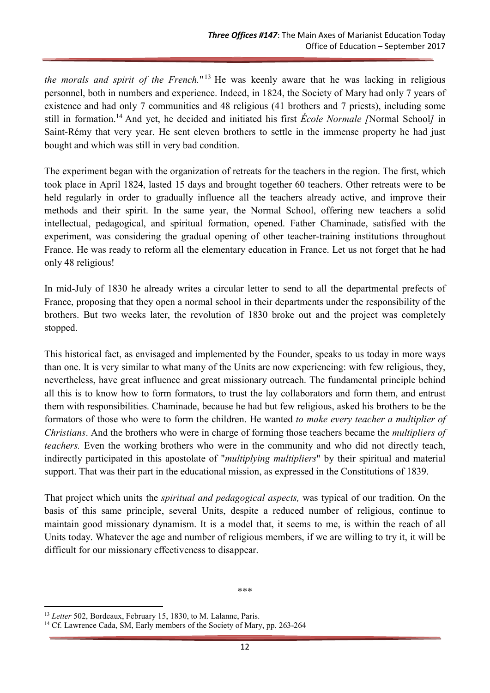the morals and spirit of the French."<sup>13</sup> He was keenly aware that he was lacking in religious personnel, both in numbers and experience. Indeed, in 1824, the Society of Mary had only 7 years of existence and had only 7 communities and 48 religious (41 brothers and 7 priests), including some still in formation.<sup>14</sup> And yet, he decided and initiated his first *École Normale* /Normal School/ in Saint-Rémy that very year. He sent eleven brothers to settle in the immense property he had just bought and which was still in very bad condition.

The experiment began with the organization of retreats for the teachers in the region. The first, which took place in April 1824, lasted 15 days and brought together 60 teachers. Other retreats were to be held regularly in order to gradually influence all the teachers already active, and improve their methods and their spirit. In the same year, the Normal School, offering new teachers a solid intellectual, pedagogical, and spiritual formation, opened. Father Chaminade, satisfied with the experiment, was considering the gradual opening of other teacher-training institutions throughout France. He was ready to reform all the elementary education in France. Let us not forget that he had only 48 religious!

In mid-July of 1830 he already writes a circular letter to send to all the departmental prefects of France, proposing that they open a normal school in their departments under the responsibility of the brothers. But two weeks later, the revolution of 1830 broke out and the project was completely stopped.

This historical fact, as envisaged and implemented by the Founder, speaks to us today in more ways than one. It is very similar to what many of the Units are now experiencing: with few religious, they, nevertheless, have great influence and great missionary outreach. The fundamental principle behind all this is to know how to form formators, to trust the lay collaborators and form them, and entrust them with responsibilities. Chaminade, because he had but few religious, asked his brothers to be the formators of those who were to form the children. He wanted to make every teacher a multiplier of Christians. And the brothers who were in charge of forming those teachers became the multipliers of teachers. Even the working brothers who were in the community and who did not directly teach, indirectly participated in this apostolate of "multiplying multipliers" by their spiritual and material support. That was their part in the educational mission, as expressed in the Constitutions of 1839.

That project which units the *spiritual and pedagogical aspects*, was typical of our tradition. On the basis of this same principle, several Units, despite a reduced number of religious, continue to maintain good missionary dynamism. It is a model that, it seems to me, is within the reach of all Units today. Whatever the age and number of religious members, if we are willing to try it, it will be difficult for our missionary effectiveness to disappear.

\*\*\*

<sup>&</sup>lt;sup>13</sup> Letter 502, Bordeaux, February 15, 1830, to M. Lalanne, Paris.

<sup>&</sup>lt;sup>14</sup> Cf. Lawrence Cada, SM, Early members of the Society of Mary, pp. 263-264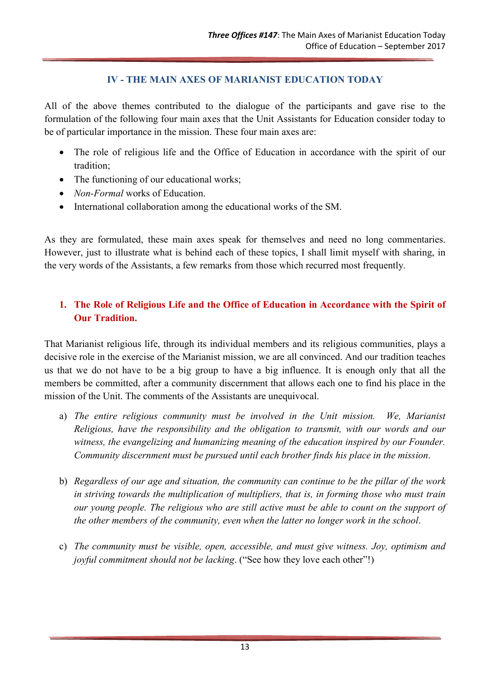### IV - THE MAIN AXES OF MARIANIST EDUCATION TODAY

All of the above themes contributed to the dialogue of the participants and gave rise to the formulation of the following four main axes that the Unit Assistants for Education consider today to be of particular importance in the mission. These four main axes are:

- The role of religious life and the Office of Education in accordance with the spirit of our tradition;
- The functioning of our educational works;
- Non-Formal works of Education.
- International collaboration among the educational works of the SM.

As they are formulated, these main axes speak for themselves and need no long commentaries. However, just to illustrate what is behind each of these topics, I shall limit myself with sharing, in the very words of the Assistants, a few remarks from those which recurred most frequently.

## 1. The Role of Religious Life and the Office of Education in Accordance with the Spirit of Our Tradition.

That Marianist religious life, through its individual members and its religious communities, plays a decisive role in the exercise of the Marianist mission, we are all convinced. And our tradition teaches us that we do not have to be a big group to have a big influence. It is enough only that all the members be committed, after a community discernment that allows each one to find his place in the mission of the Unit. The comments of the Assistants are unequivocal.

- a) The entire religious community must be involved in the Unit mission. We, Marianist Religious, have the responsibility and the obligation to transmit, with our words and our witness, the evangelizing and humanizing meaning of the education inspired by our Founder. Community discernment must be pursued until each brother finds his place in the mission.
- b) Regardless of our age and situation, the community can continue to be the pillar of the work in striving towards the multiplication of multipliers, that is, in forming those who must train our young people. The religious who are still active must be able to count on the support of the other members of the community, even when the latter no longer work in the school.
- c) The community must be visible, open, accessible, and must give witness. Joy, optimism and joyful commitment should not be lacking. ("See how they love each other"!)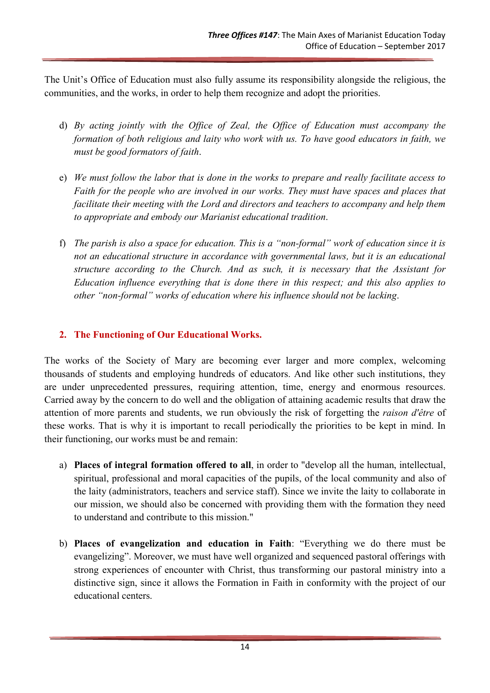The Unit's Office of Education must also fully assume its responsibility alongside the religious, the communities, and the works, in order to help them recognize and adopt the priorities.

- d) By acting jointly with the Office of Zeal, the Office of Education must accompany the formation of both religious and laity who work with us. To have good educators in faith, we must be good formators of faith.
- e) We must follow the labor that is done in the works to prepare and really facilitate access to Faith for the people who are involved in our works. They must have spaces and places that facilitate their meeting with the Lord and directors and teachers to accompany and help them to appropriate and embody our Marianist educational tradition.
- f) The parish is also a space for education. This is a "non-formal" work of education since it is not an educational structure in accordance with governmental laws, but it is an educational structure according to the Church. And as such, it is necessary that the Assistant for Education influence everything that is done there in this respect; and this also applies to other "non-formal" works of education where his influence should not be lacking.

### 2. The Functioning of Our Educational Works.

The works of the Society of Mary are becoming ever larger and more complex, welcoming thousands of students and employing hundreds of educators. And like other such institutions, they are under unprecedented pressures, requiring attention, time, energy and enormous resources. Carried away by the concern to do well and the obligation of attaining academic results that draw the attention of more parents and students, we run obviously the risk of forgetting the raison d'être of these works. That is why it is important to recall periodically the priorities to be kept in mind. In their functioning, our works must be and remain:

- a) Places of integral formation offered to all, in order to "develop all the human, intellectual, spiritual, professional and moral capacities of the pupils, of the local community and also of the laity (administrators, teachers and service staff). Since we invite the laity to collaborate in our mission, we should also be concerned with providing them with the formation they need to understand and contribute to this mission."
- b) Places of evangelization and education in Faith: "Everything we do there must be evangelizing". Moreover, we must have well organized and sequenced pastoral offerings with strong experiences of encounter with Christ, thus transforming our pastoral ministry into a distinctive sign, since it allows the Formation in Faith in conformity with the project of our educational centers.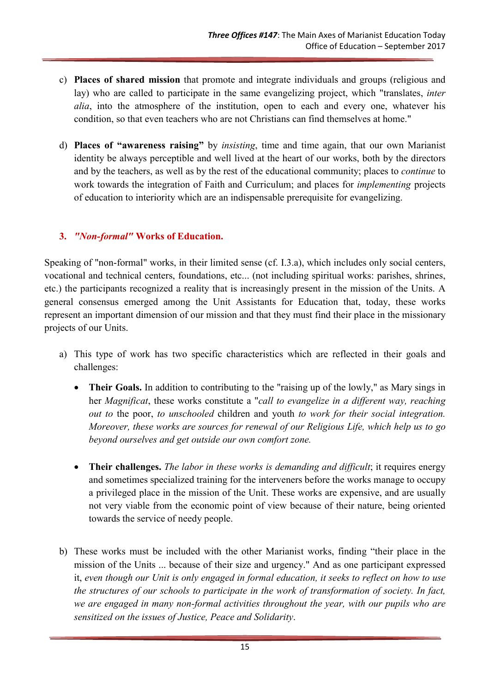- c) Places of shared mission that promote and integrate individuals and groups (religious and lay) who are called to participate in the same evangelizing project, which "translates, *inter* alia, into the atmosphere of the institution, open to each and every one, whatever his condition, so that even teachers who are not Christians can find themselves at home."
- d) Places of "awareness raising" by insisting, time and time again, that our own Marianist identity be always perceptible and well lived at the heart of our works, both by the directors and by the teachers, as well as by the rest of the educational community; places to *continue* to work towards the integration of Faith and Curriculum; and places for implementing projects of education to interiority which are an indispensable prerequisite for evangelizing.

# 3. "Non-formal" Works of Education.

Speaking of "non-formal" works, in their limited sense (cf. I.3.a), which includes only social centers, vocational and technical centers, foundations, etc... (not including spiritual works: parishes, shrines, etc.) the participants recognized a reality that is increasingly present in the mission of the Units. A general consensus emerged among the Unit Assistants for Education that, today, these works represent an important dimension of our mission and that they must find their place in the missionary projects of our Units.

- a) This type of work has two specific characteristics which are reflected in their goals and challenges:
	- Their Goals. In addition to contributing to the "raising up of the lowly," as Mary sings in her Magnificat, these works constitute a "call to evangelize in a different way, reaching out to the poor, to unschooled children and youth to work for their social integration. Moreover, these works are sources for renewal of our Religious Life, which help us to go beyond ourselves and get outside our own comfort zone.
	- Their challenges. The labor in these works is demanding and difficult; it requires energy and sometimes specialized training for the interveners before the works manage to occupy a privileged place in the mission of the Unit. These works are expensive, and are usually not very viable from the economic point of view because of their nature, being oriented towards the service of needy people.
- b) These works must be included with the other Marianist works, finding "their place in the mission of the Units ... because of their size and urgency." And as one participant expressed it, even though our Unit is only engaged in formal education, it seeks to reflect on how to use the structures of our schools to participate in the work of transformation of society. In fact, we are engaged in many non-formal activities throughout the year, with our pupils who are sensitized on the issues of Justice, Peace and Solidarity.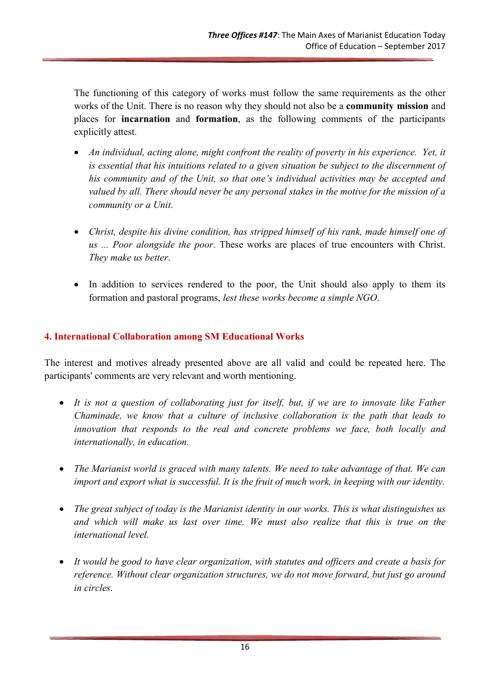The functioning of this category of works must follow the same requirements as the other works of the Unit. There is no reason why they should not also be a community mission and places for incarnation and formation, as the following comments of the participants explicitly attest.

- An individual, acting alone, might confront the reality of poverty in his experience. Yet, it is essential that his intuitions related to a given situation be subject to the discernment of his community and of the Unit, so that one's individual activities may be accepted and valued by all. There should never be any personal stakes in the motive for the mission of a community or a Unit.
- Christ, despite his divine condition, has stripped himself of his rank, made himself one of us ... Poor alongside the poor. These works are places of true encounters with Christ. They make us better.
- In addition to services rendered to the poor, the Unit should also apply to them its formation and pastoral programs, lest these works become a simple NGO.

### 4. International Collaboration among SM Educational Works

The interest and motives already presented above are all valid and could be repeated here. The participants' comments are very relevant and worth mentioning.

- It is not a question of collaborating just for itself, but, if we are to innovate like Father Chaminade, we know that a culture of inclusive collaboration is the path that leads to innovation that responds to the real and concrete problems we face, both locally and internationally, in education.
- The Marianist world is graced with many talents. We need to take advantage of that. We can import and export what is successful. It is the fruit of much work, in keeping with our identity.
- The great subject of today is the Marianist identity in our works. This is what distinguishes us and which will make us last over time. We must also realize that this is true on the international level.
- It would be good to have clear organization, with statutes and officers and create a basis for reference. Without clear organization structures, we do not move forward, but just go around in circles.